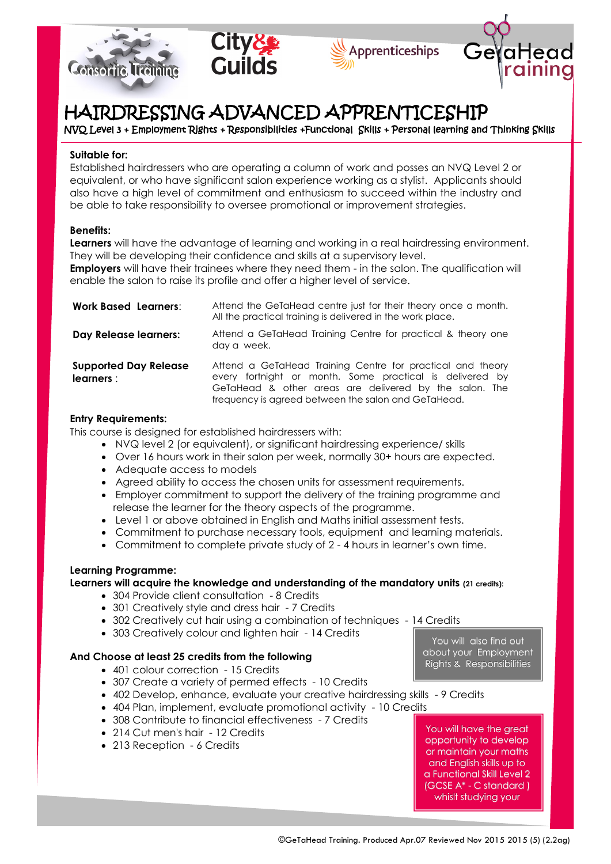







# HAIRDRESSING ADVANCED APPRENTICESHIP

NVQ Level 3 + Employment Rights + Responsibilities +Functional Skills + Personal learning and Thinking Skills

## **Suitable for:**

Established hairdressers who are operating a column of work and posses an NVQ Level 2 or equivalent, or who have significant salon experience working as a stylist. Applicants should also have a high level of commitment and enthusiasm to succeed within the industry and be able to take responsibility to oversee promotional or improvement strategies.

# **Benefits:**

**Learners** will have the advantage of learning and working in a real hairdressing environment. They will be developing their confidence and skills at a supervisory level.

**Employers** will have their trainees where they need them - in the salon. The qualification will enable the salon to raise its profile and offer a higher level of service.

| <b>Work Based Learners:</b>                | Attend the GeTaHead centre just for their theory once a month.<br>All the practical training is delivered in the work place.                                                                                                            |
|--------------------------------------------|-----------------------------------------------------------------------------------------------------------------------------------------------------------------------------------------------------------------------------------------|
| Day Release learners:                      | Attend a GeTaHead Training Centre for practical & theory one<br>day a week.                                                                                                                                                             |
| <b>Supported Day Release</b><br>learners : | Attend a GeTaHead Training Centre for practical and theory<br>every fortnight or month. Some practical is delivered by<br>GeTaHead & other areas are delivered by the salon. The<br>frequency is agreed between the salon and GeTaHead. |

#### **Entry Requirements:**

This course is designed for established hairdressers with:

- NVQ level 2 (or equivalent), or significant hairdressing experience/ skills
- Over 16 hours work in their salon per week, normally 30+ hours are expected.
- Adequate access to models
- Agreed ability to access the chosen units for assessment requirements.
- Employer commitment to support the delivery of the training programme and release the learner for the theory aspects of the programme.
- Level 1 or above obtained in English and Maths initial assessment tests.
- Commitment to purchase necessary tools, equipment and learning materials.
- Commitment to complete private study of 2 4 hours in learner's own time.

## **Learning Programme:**

## **Learners will acquire the knowledge and understanding of the mandatory units (21 credits):**

- 304 Provide client consultation 8 Credits
- 301 Creatively style and dress hair 7 Credits
- 302 Creatively cut hair using a combination of techniques 14 Credits
- 303 Creatively colour and lighten hair 14 Credits

# **And Choose at least 25 credits from the following**

- 401 colour correction 15 Credits
- 307 Create a variety of permed effects 10 Credits
- 402 Develop, enhance, evaluate your creative hairdressing skills 9 Credits
- 404 Plan, implement, evaluate promotional activity 10 Credits
- 308 Contribute to financial effectiveness 7 Credits
- 214 Cut men's hair 12 Credits
- 213 Reception 6 Credits

You will also find out about your Employment Rights & Responsibilities

You will have the great opportunity to develop or maintain your maths and English skills up to a Functional Skill Level 2 (GCSE A\* - C standard ) whislt studying your